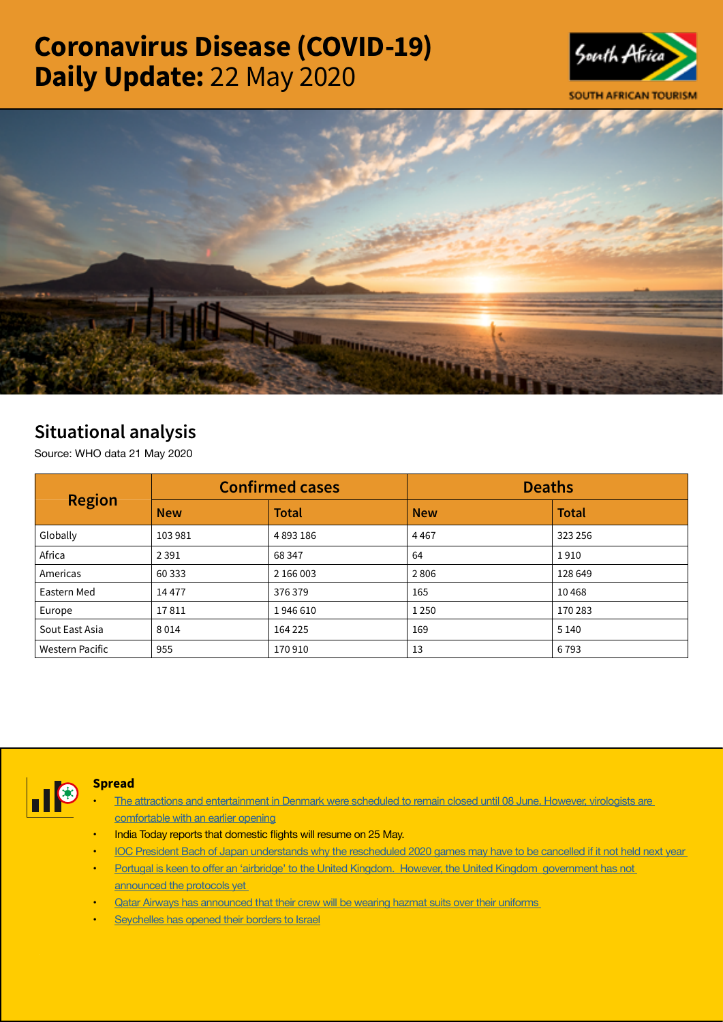# Coronavirus Disease (COVID-19) Daily Update: 22 May 2020





## Situational analysis

Source: WHO data 21 May 2020

| <b>Region</b>          |            | <b>Confirmed cases</b> | <b>Deaths</b> |              |  |
|------------------------|------------|------------------------|---------------|--------------|--|
|                        | <b>New</b> | <b>Total</b>           | <b>New</b>    | <b>Total</b> |  |
| Globally               | 103 981    | 4893186                | 4467          | 323 256      |  |
| Africa                 | 2 3 9 1    | 68 347                 | 64            | 1910         |  |
| Americas               | 60 333     | 2 166 003              | 2806          | 128 649      |  |
| Eastern Med            | 14477      | 376379                 | 165           | 10468        |  |
| Europe                 | 17811      | 1946610                | 1 2 5 0       | 170 283      |  |
| Sout East Asia         | 8014       | 164 225                | 169           | 5 1 4 0      |  |
| <b>Western Pacific</b> | 955        | 170910                 | 13            | 6793         |  |



### **Spread**

- The attractions and entertainment in Denmark were scheduled to remain closed until 08 June. However, virologists are [comfortable with an earlier opening](https://is.gd/1DO82i)
- India Today reports that domestic flights will resume on 25 May.
- IOC President Bach of Japan understands why the rescheduled 2020 games may have to be cancelled if it not held next year
- Portugal is keen to offer an 'airbridge' to the United Kingdom. However, the United [Kingdom government](https://is.gd/7COKau) has not [announced the protocols yet](https://is.gd/7COKau)
- **Qatar Airways has announced that their crew will be wearing hazmat suits over their uniforms**
- [Seychelles has opened their borders to Israel](https://is.gd/GstO0m)